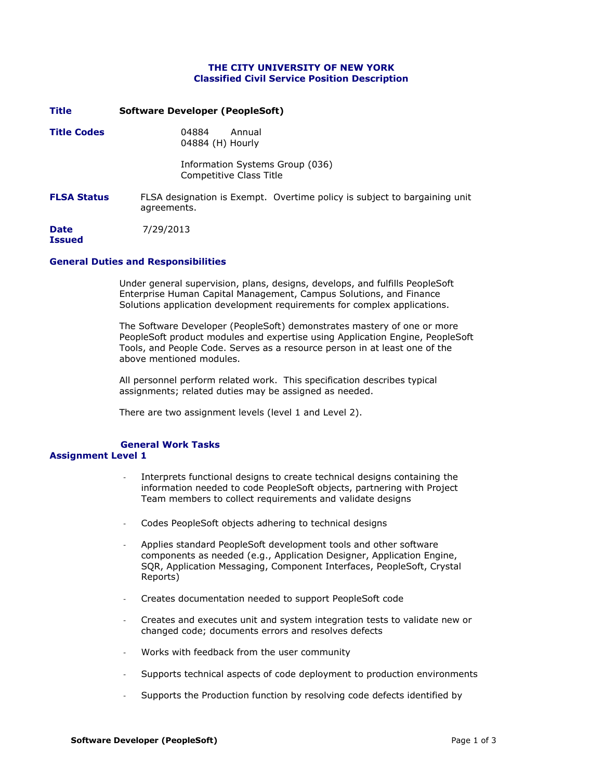## **THE CITY UNIVERSITY OF NEW YORK Classified Civil Service Position Description**

| Title              | Software Developer (PeopleSoft)                                                          |
|--------------------|------------------------------------------------------------------------------------------|
| <b>Title Codes</b> | 04884<br>Annual<br>04884 (H) Hourly                                                      |
|                    | Information Systems Group (036)<br>Competitive Class Title                               |
| <b>FLSA Status</b> | FLSA designation is Exempt. Overtime policy is subject to bargaining unit<br>agreements. |
| Date<br>Tssued     | 7/29/2013                                                                                |

## **General Duties and Responsibilities**

Under general supervision, plans, designs, develops, and fulfills PeopleSoft Enterprise Human Capital Management, Campus Solutions, and Finance Solutions application development requirements for complex applications.

The Software Developer (PeopleSoft) demonstrates mastery of one or more PeopleSoft product modules and expertise using Application Engine, PeopleSoft Tools, and People Code. Serves as a resource person in at least one of the above mentioned modules.

All personnel perform related work. This specification describes typical assignments; related duties may be assigned as needed.

There are two assignment levels (level 1 and Level 2).

# **General Work Tasks**

## **Assignment Level 1**

- Interprets functional designs to create technical designs containing the information needed to code PeopleSoft objects, partnering with Project Team members to collect requirements and validate designs
- Codes PeopleSoft objects adhering to technical designs
- Applies standard PeopleSoft development tools and other software components as needed (e.g., Application Designer, Application Engine, SQR, Application Messaging, Component Interfaces, PeopleSoft, Crystal Reports)
- Creates documentation needed to support PeopleSoft code
- Creates and executes unit and system integration tests to validate new or changed code; documents errors and resolves defects
- Works with feedback from the user community
- Supports technical aspects of code deployment to production environments
- Supports the Production function by resolving code defects identified by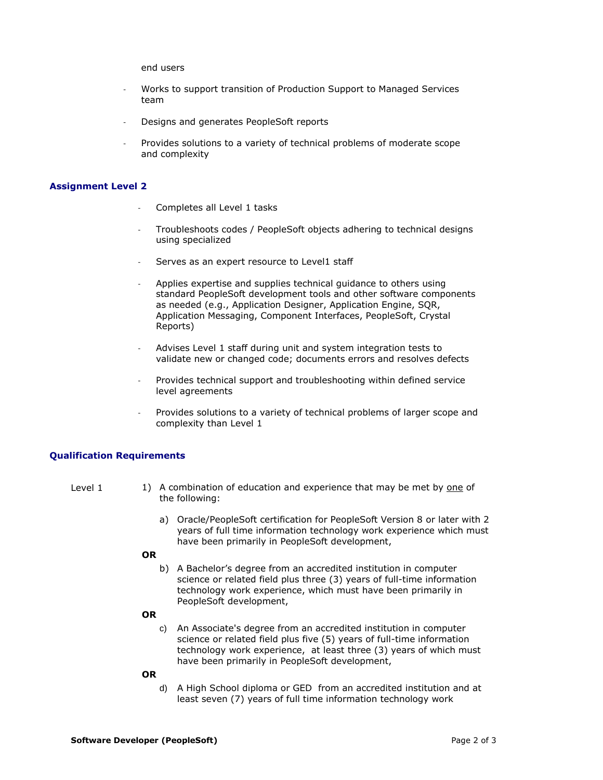end users

- Works to support transition of Production Support to Managed Services team
- Designs and generates PeopleSoft reports
- Provides solutions to a variety of technical problems of moderate scope and complexity

#### **Assignment Level 2**

- Completes all Level 1 tasks
- Troubleshoots codes / PeopleSoft objects adhering to technical designs using specialized
- Serves as an expert resource to Level1 staff
- Applies expertise and supplies technical guidance to others using standard PeopleSoft development tools and other software components as needed (e.g., Application Designer, Application Engine, SQR, Application Messaging, Component Interfaces, PeopleSoft, Crystal Reports)
- Advises Level 1 staff during unit and system integration tests to validate new or changed code; documents errors and resolves defects
- Provides technical support and troubleshooting within defined service level agreements
- Provides solutions to a variety of technical problems of larger scope and complexity than Level 1

## **Qualification Requirements**

- Level 1 1) A combination of education and experience that may be met by one of the following:
	- a) Oracle/PeopleSoft certification for PeopleSoft Version 8 or later with 2 years of full time information technology work experience which must have been primarily in PeopleSoft development,

### **OR**

b) A Bachelor's degree from an accredited institution in computer science or related field plus three (3) years of full-time information technology work experience, which must have been primarily in PeopleSoft development,

#### **OR**

- c) An Associate's degree from an accredited institution in computer science or related field plus five (5) years of full-time information technology work experience, at least three (3) years of which must have been primarily in PeopleSoft development,
- **OR**
	- d) A High School diploma or GED from an accredited institution and at least seven (7) years of full time information technology work